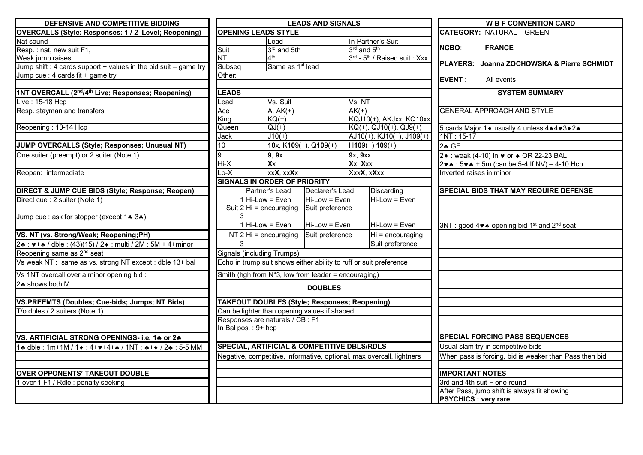| DEFENSIVE AND COMPETITIVE BIDDING                                                                | <b>LEADS AND SIGNALS</b>                                      |                                              |                                                  |                                                                       | <b>W B F CONVENTION CARD</b>                                                |
|--------------------------------------------------------------------------------------------------|---------------------------------------------------------------|----------------------------------------------|--------------------------------------------------|-----------------------------------------------------------------------|-----------------------------------------------------------------------------|
| <b>OVERCALLS (Style: Responses: 1 / 2 Level; Reopening)</b>                                      | <b>OPENING LEADS STYLE</b>                                    |                                              |                                                  |                                                                       | <b>CATEGORY: NATURAL - GREEN</b>                                            |
| Nat sound                                                                                        | Lead                                                          |                                              | In Partner's Suit                                |                                                                       |                                                                             |
| Resp.: nat, new suit F1,                                                                         | Suit                                                          | $3rd$ and 5th                                |                                                  | 3rd and 5 <sup>th</sup>                                               | <b>NCBO:</b><br><b>FRANCE</b>                                               |
| Weak jump raises,                                                                                | $\overline{\text{NT}}$                                        | 4 <sup>th</sup>                              |                                                  | 3rd - 5 <sup>th</sup> / Raised suit: Xxx                              | <b>IPLAYERS: Joanna ZOCHOWSKA &amp; Pierre SCHMIDT</b>                      |
| Jump shift : 4 cards support + values in the bid suit – game try                                 | Subseq                                                        | Same as 1 <sup>st</sup> lead                 |                                                  |                                                                       |                                                                             |
| Jump cue : 4 cards fit + game try                                                                | Other:                                                        |                                              |                                                  |                                                                       | <b>EVENT:</b><br>All events                                                 |
| 1NT OVERCALL (2 <sup>nd</sup> /4 <sup>th</sup> Live; Responses; Reopening)                       | <b>EADS</b>                                                   |                                              |                                                  |                                                                       | <b>SYSTEM SUMMARY</b>                                                       |
| Live : 15-18 Hcp                                                                                 | .ead                                                          | Vs. Suit                                     |                                                  | Vs. NT                                                                |                                                                             |
| Resp. stayman and transfers                                                                      | Ace                                                           | $A, AK(+)$                                   |                                                  | $AK(+)$                                                               | <b>GENERAL APPROACH AND STYLE</b>                                           |
|                                                                                                  | King                                                          | $KQ(+)$                                      |                                                  | KQJ10(+), AKJxx, KQ10xx                                               |                                                                             |
| Reopening: 10-14 Hcp                                                                             | Queen                                                         | $QJ(+)$                                      |                                                  | $KQ(+)$ , QJ10(+), QJ9(+)                                             | 5 cards Major 1 ♦ usually 4 unless 4 * 4 * 3 * 2 *                          |
|                                                                                                  | Jack                                                          | $J10(+)$                                     |                                                  | $AJ10(+), KJ10(+), J109(+)$                                           | $1NT: 15-17$                                                                |
| JUMP OVERCALLS (Style; Responses; Unusual NT)                                                    | 10                                                            |                                              | 10x, $K109(+)$ , Q109(+)                         | $H109(+) 109(+)$                                                      | 2.4 GF                                                                      |
| One suiter (preempt) or 2 suiter (Note 1)                                                        | 9                                                             | 9, 9x                                        |                                                  | 9x, 9xx                                                               | 2 • : weak (4-10) in • or ▲ OR 22-23 BAL                                    |
|                                                                                                  | $Hi-X$                                                        | $\overline{\mathsf{X}}\overline{\mathsf{X}}$ |                                                  | Xx, Xxx                                                               | $2\vee\bullet$ : 5 $\vee\bullet$ + 5m (can be 5-4 If NV) – 4-10 Hcp         |
| Reopen: intermediate                                                                             | $Lo-X$                                                        | xx <b>X</b> , xx <b>X</b> x                  |                                                  | XxxX, xXxx                                                            | Inverted raises in minor                                                    |
|                                                                                                  | <b>SIGNALS IN ORDER OF PRIORITY</b>                           |                                              |                                                  |                                                                       |                                                                             |
| DIRECT & JUMP CUE BIDS (Style; Response; Reopen)                                                 |                                                               | Partner's Lead                               | Declarer's Lead                                  | Discarding                                                            | SPECIAL BIDS THAT MAY REQUIRE DEFENSE                                       |
| Direct cue : 2 suiter (Note 1)                                                                   |                                                               | $1$ Hi-Low = Even                            | Hi-Low = Even                                    | $Hi$ -Low = Even                                                      |                                                                             |
|                                                                                                  |                                                               |                                              | Suit $2 Hi = \text{encouraging}$ Suit preference |                                                                       |                                                                             |
| Jump cue : ask for stopper (except 1+ 3+)                                                        |                                                               |                                              |                                                  |                                                                       |                                                                             |
|                                                                                                  |                                                               | $1$ Hi-Low = Even                            | Hi-Low = Even                                    | Hi-Low = Even                                                         | 3NT : good 4 v ↑ opening bid 1 <sup>st</sup> and 2 <sup>nd</sup> seat       |
| VS. NT (vs. Strong/Weak; Reopening;PH)                                                           |                                                               | NT $2 Hi =$ encouraging                      | Suit preference                                  | Hi = encouraging                                                      |                                                                             |
| 2. : $\blacktriangleright$ + $\blacktriangle$ / dble : (43)(15) / 2. : multi / 2M : 5M + 4+minor |                                                               |                                              |                                                  | Suit preference                                                       |                                                                             |
| Reopening same as 2 <sup>nd</sup> seat                                                           | Signals (including Trumps):                                   |                                              |                                                  |                                                                       |                                                                             |
| Vs weak NT: same as vs. strong NT except: dble 13+ bal                                           |                                                               |                                              |                                                  | Echo in trump suit shows either ability to ruff or suit preference    |                                                                             |
| Vs 1NT overcall over a minor opening bid :                                                       | Smith (hgh from $N^{\circ}3$ , low from leader = encouraging) |                                              |                                                  |                                                                       |                                                                             |
| 2. shows both M                                                                                  |                                                               | <b>DOUBLES</b>                               |                                                  |                                                                       |                                                                             |
| VS.PREEMTS (Doubles; Cue-bids; Jumps; NT Bids)                                                   | <b>TAKEOUT DOUBLES (Style; Responses; Reopening)</b>          |                                              |                                                  |                                                                       |                                                                             |
| T/o dbles / 2 suiters (Note 1)                                                                   |                                                               | Can be lighter than opening values if shaped |                                                  |                                                                       |                                                                             |
|                                                                                                  | Responses are naturals / CB : F1                              |                                              |                                                  |                                                                       |                                                                             |
|                                                                                                  | In Bal pos.: 9+ hcp                                           |                                              |                                                  |                                                                       |                                                                             |
| VS. ARTIFICIAL STRONG OPENINGS- i.e. 14 or 24                                                    |                                                               |                                              |                                                  |                                                                       | <b>SPECIAL FORCING PASS SEQUENCES</b>                                       |
| 1. dble : 1m+1M / 1. + : 4+v+4+. / 1NT : *++ / 2. : 5-5 MM                                       | SPECIAL, ARTIFICIAL & COMPETITIVE DBLS/RDLS                   |                                              |                                                  |                                                                       | Usual slam try in competitive bids                                          |
|                                                                                                  |                                                               |                                              |                                                  | Negative, competitive, informative, optional, max overcall, lightners | When pass is forcing, bid is weaker than Pass then bid                      |
|                                                                                                  |                                                               |                                              |                                                  |                                                                       |                                                                             |
| <b>OVER OPPONENTS' TAKEOUT DOUBLE</b>                                                            |                                                               |                                              |                                                  |                                                                       | <b>IMPORTANT NOTES</b>                                                      |
| 1 over 1 F1 / Rdle : penalty seeking                                                             |                                                               |                                              |                                                  |                                                                       | 3rd and 4th suit F one round                                                |
|                                                                                                  |                                                               |                                              |                                                  |                                                                       | After Pass, jump shift is always fit showing<br><b>PSYCHICS : very rare</b> |
|                                                                                                  |                                                               |                                              |                                                  |                                                                       |                                                                             |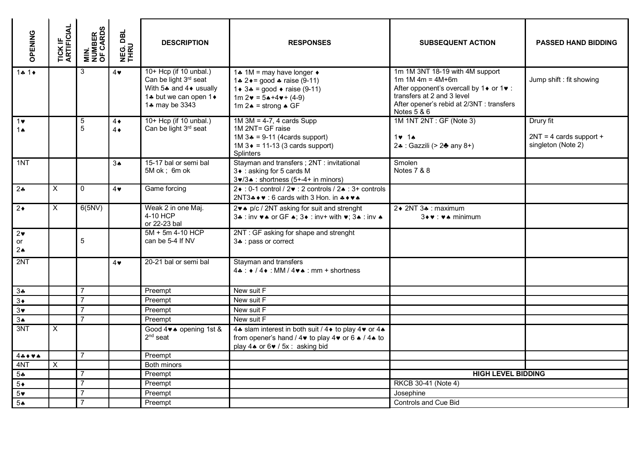| OPENING                           | <b>TICK IF<br/>ARTIFICIAL</b> | <b>MIN.<br/>NUMBER<br/>OF CARDS</b> | DBL<br><b>NEG.I</b>      | <b>DESCRIPTION</b>                                                                                                       | <b>RESPONSES</b>                                                                                                                                                                                                               | <b>SUBSEQUENT ACTION</b>                                                                                                                                                                   | <b>PASSED HAND BIDDING</b>                                   |
|-----------------------------------|-------------------------------|-------------------------------------|--------------------------|--------------------------------------------------------------------------------------------------------------------------|--------------------------------------------------------------------------------------------------------------------------------------------------------------------------------------------------------------------------------|--------------------------------------------------------------------------------------------------------------------------------------------------------------------------------------------|--------------------------------------------------------------|
| $1 + 1$                           |                               | 3                                   | $4\vee$                  | 10+ Hcp (if 10 unbal.)<br>Can be light 3rd seat<br>With $5*$ and $4*$ usually<br>1* but we can open 1*<br>1. may be 3343 | 1.4 1M = may have longer $\triangleleft$<br>1.4 2 $\bullet$ = good $\bullet$ raise (9-11)<br>1 ♦ 3 $\ast$ = good $\ast$ raise (9-11)<br>$1m 2 \cdot = 5 \cdot + 4 \cdot + (4-9)$<br>1m $2 \cdot \bullet$ = strong $\bullet$ GF | 1m 1M 3NT 18-19 with 4M support<br>$1m 1M 4m = 4M+6m$<br>After opponent's overcall by 1♦ or 1♥ :<br>transfers at 2 and 3 level<br>After opener's rebid at 2/3NT : transfers<br>Notes 5 & 6 | Jump shift : fit showing                                     |
| $1$ v<br>1 $\triangle$            |                               | $\,$ 5 $\,$<br>5                    | $4\bullet$<br>$4\bullet$ | 10+ Hcp (if 10 unbal.)<br>Can be light 3rd seat                                                                          | 1M 1NT 2NT : GF (Note 3)<br>$1M$ 3M = 4-7, 4 cards Supp<br>1M 2NT= GF raise<br>1M $3* = 9-11$ (4cards support)<br>$1 \times 14$<br>$1M$ 3 $\bullet$ = 11-13 (3 cards support)<br>24 : Gazzili (> 24 any 8+)<br>Splinters       |                                                                                                                                                                                            | Drury fit<br>$2NT = 4$ cards support +<br>singleton (Note 2) |
| 1NT                               |                               |                                     | 3 <sub>A</sub>           | 15-17 bal or semi bal<br>5M ok; 6m ok                                                                                    | Stayman and transfers; 2NT: invitational<br>3 • : asking for 5 cards M<br>3v/3. : shortness (5+-4+ in minors)                                                                                                                  | Smolen<br>Notes 7 & 8                                                                                                                                                                      |                                                              |
| 24                                | $\times$                      | $\mathbf{0}$                        | $4\vee$                  | Game forcing                                                                                                             | $2 \cdot 0$ : 0-1 control / $2 \cdot 2$ controls / $2 \cdot 3$ : 3+ controls<br>2NT3 $\clubsuit \bullet \bullet : 6$ cards with 3 Hon. in $\clubsuit \bullet \bullet \bullet$                                                  |                                                                                                                                                                                            |                                                              |
| $2\bullet$                        | X                             | 6(5NV)                              |                          | Weak 2 in one Maj.<br>4-10 HCP<br>or 22-23 bal                                                                           | 2♥▲ p/c / 2NT asking for suit and strenght<br>34: inv $\forall$ A or GF A; 34: inv+ with $\forall$ ; 3A: inv A                                                                                                                 | 2◆ 2NT 3♣ : maximum<br>3+ v : v ↑ minimum                                                                                                                                                  |                                                              |
| $2\bullet$<br>or<br>$2\spadesuit$ |                               | 5                                   |                          | $5M + 5m$ 4-10 HCP<br>can be 5-4 If NV                                                                                   | 2NT: GF asking for shape and strenght<br>34 : pass or correct                                                                                                                                                                  |                                                                                                                                                                                            |                                                              |
| 2NT                               |                               |                                     | $4\bullet$               | 20-21 bal or semi bal                                                                                                    | Stayman and transfers<br>$4$ $\bullet$ : $\bullet$ / 4 $\bullet$ : MM / 4 $\bullet$ $\bullet$ : mm + shortness                                                                                                                 |                                                                                                                                                                                            |                                                              |
| $3 -$                             |                               | $\overline{7}$                      |                          | Preempt                                                                                                                  | New suit F                                                                                                                                                                                                                     |                                                                                                                                                                                            |                                                              |
| $3\bullet$                        |                               | $\overline{7}$                      |                          | Preempt                                                                                                                  | New suit F                                                                                                                                                                                                                     |                                                                                                                                                                                            |                                                              |
| $3\bullet$                        |                               | $\overline{7}$                      |                          | Preempt                                                                                                                  | New suit $\overline{F}$                                                                                                                                                                                                        |                                                                                                                                                                                            |                                                              |
| 3A                                |                               | $\overline{7}$                      |                          | Preempt                                                                                                                  | New suit F                                                                                                                                                                                                                     |                                                                                                                                                                                            |                                                              |
| 3NT                               | $\times$                      |                                     |                          | Good 4v <sup>A</sup> opening 1st &<br>$2nd$ seat                                                                         | 4.4 slam interest in both suit / 4 ♦ to play 4 • or 4.<br>from opener's hand / 4v to play 4v or 6 ♦ / 4* to<br>play 4★ or 6♥ / 5x : asking bid                                                                                 |                                                                                                                                                                                            |                                                              |
| $4 + 4$                           |                               | $\overline{7}$                      |                          | Preempt                                                                                                                  |                                                                                                                                                                                                                                |                                                                                                                                                                                            |                                                              |
| 4NT                               | X                             |                                     |                          | Both minors                                                                                                              |                                                                                                                                                                                                                                |                                                                                                                                                                                            |                                                              |
| $5 -$                             |                               | $\overline{7}$                      |                          | Preempt                                                                                                                  |                                                                                                                                                                                                                                | <b>HIGH LEVEL BIDDING</b>                                                                                                                                                                  |                                                              |
| $5*$                              |                               | $\overline{7}$                      |                          | Preempt                                                                                                                  |                                                                                                                                                                                                                                | RKCB 30-41 (Note 4)                                                                                                                                                                        |                                                              |
| $5*$                              |                               | $\overline{7}$                      |                          | Preempt                                                                                                                  |                                                                                                                                                                                                                                | Josephine                                                                                                                                                                                  |                                                              |
| 5♠                                |                               | $\overline{7}$                      |                          | Preempt                                                                                                                  | Controls and Cue Bid                                                                                                                                                                                                           |                                                                                                                                                                                            |                                                              |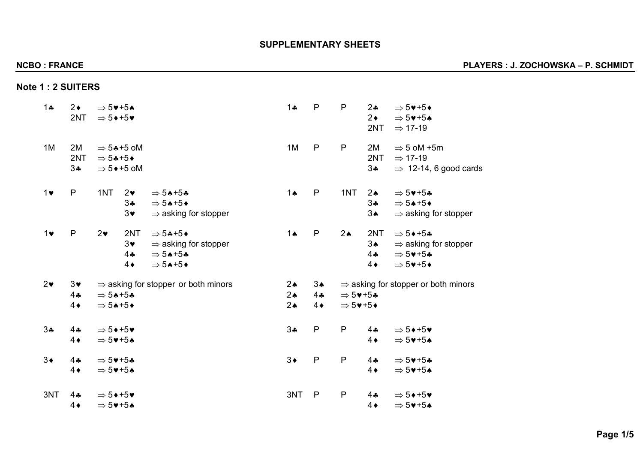# **Note 1 : 2 SUITERS**

| $1 +$      | $2\bullet$<br>2NT                           | $\Rightarrow$ 5 $\blacktriangledown$ +5 $\blacktriangle$<br>$\Rightarrow$ 5 $\leftrightarrow$ +5 $\bullet$ |                                                                  |                                                                                                       | $1 +$                                           | P                                    | P                                                                          | $2\bullet$<br>$2\bullet$<br>2NT                        | $\Rightarrow$ 5♥+5♦<br>$\Rightarrow$ 5 $\blacktriangledown$ +5 $\blacktriangle$<br>$\Rightarrow$ 17-19                                                  |
|------------|---------------------------------------------|------------------------------------------------------------------------------------------------------------|------------------------------------------------------------------|-------------------------------------------------------------------------------------------------------|-------------------------------------------------|--------------------------------------|----------------------------------------------------------------------------|--------------------------------------------------------|---------------------------------------------------------------------------------------------------------------------------------------------------------|
| 1M         | 2M<br>2NT<br>$3\clubsuit$                   | $\Rightarrow$ 54+5+                                                                                        | $\Rightarrow$ 5*+5 oM<br>$\Rightarrow$ 5 $\leftrightarrow$ +5 oM |                                                                                                       | 1M                                              | $\mathsf{P}$                         | $\mathsf{P}$                                                               | 2M<br>2NT<br>$3\clubsuit$                              | $\Rightarrow$ 5 oM +5m<br>$\Rightarrow$ 17-19<br>$\Rightarrow$ 12-14, 6 good cards                                                                      |
| $1$ v      | $\mathsf{P}$                                | 1NT                                                                                                        | $2\bullet$<br>34<br>$3\bullet$                                   | $\Rightarrow$ 54+54<br>$\Rightarrow$ 54+5+<br>$\Rightarrow$ asking for stopper                        | $1 \spadesuit$                                  | $\mathsf{P}$                         | 1NT                                                                        | $2 \triangle$<br>$3 -$<br>$3\spadesuit$                | $\Rightarrow$ 5 $\blacktriangledown$ +5*<br>$\Rightarrow$ 54+5+<br>$\Rightarrow$ asking for stopper                                                     |
| $1 \vee$   | $\mathsf{P}$                                | $2\bullet$                                                                                                 | 2NT<br>$3\bullet$<br>44<br>$4\bullet$                            | $\Rightarrow$ 54+5+<br>$\Rightarrow$ asking for stopper<br>$\Rightarrow$ 54+54<br>$\Rightarrow$ 54+5+ | $1 \spadesuit$                                  | $\mathsf{P}$                         | 2 <sub>•</sub>                                                             | 2NT<br>3 <sub>•</sub><br>$4$ $\clubsuit$<br>$4\bullet$ | $\Rightarrow$ 5 $\leftrightarrow$ +5 $\clubsuit$<br>$\Rightarrow$ asking for stopper<br>$\Rightarrow$ 5 $\blacktriangledown$ +54<br>$\Rightarrow$ 5♥+5♦ |
| $2\bullet$ | $3\bullet$<br>$4$ $\clubsuit$<br>$4\bullet$ | $\Rightarrow$ 54+54<br>$\Rightarrow$ 54+5+                                                                 |                                                                  | $\Rightarrow$ asking for stopper or both minors                                                       | $2\spadesuit$<br>$2\spadesuit$<br>$2\spadesuit$ | $3\spadesuit$<br>$4$ *<br>$4\bullet$ | $\Rightarrow$ 5 $\blacktriangledown$ +5 $\clubsuit$<br>$\Rightarrow$ 5♥+5♦ |                                                        | $\Rightarrow$ asking for stopper or both minors                                                                                                         |
| 34         | $4$ +<br>$4\bullet$                         | $\Rightarrow$ 5 $\leftrightarrow$ +5 $\bullet$<br>$\Rightarrow$ 5 $\blacktriangledown$ +5 $\blacktriangle$ |                                                                  |                                                                                                       | 34                                              | $\mathsf{P}$                         | ${\sf P}$                                                                  | $4$ $\clubsuit$<br>$4\bullet$                          | $\Rightarrow$ 5 $\leftrightarrow$ +5 $\bullet$<br>$\Rightarrow$ 5 $\blacktriangledown$ +5 $\blacktriangle$                                              |
| $3\bullet$ | $4$ $\clubsuit$<br>$4\bullet$               | $\Rightarrow$ 5 $\blacktriangledown$ +54<br>$\Rightarrow$ 5 $\blacktriangledown$ +5 $\blacktriangle$       |                                                                  |                                                                                                       | $3\bullet$                                      | $\mathsf{P}$                         | ${\sf P}$                                                                  | $4$ $\clubsuit$<br>$4\bullet$                          | $\Rightarrow$ 5 $\blacktriangledown$ +54<br>$\Rightarrow$ 5 $\blacktriangledown$ +5 $\blacktriangle$                                                    |
| 3NT        | $4$ *<br>$4\bullet$                         | $\Rightarrow$ 5 $\leftrightarrow$ +5 $\bullet$<br>$\Rightarrow$ 5++5*                                      |                                                                  |                                                                                                       | 3NT                                             | P                                    | $\mathsf{P}$                                                               | $4$ $\clubsuit$<br>$4\bullet$                          | $\Rightarrow$ 5 $\leftrightarrow$ +5 $\bullet$<br>$\Rightarrow$ 5++5*                                                                                   |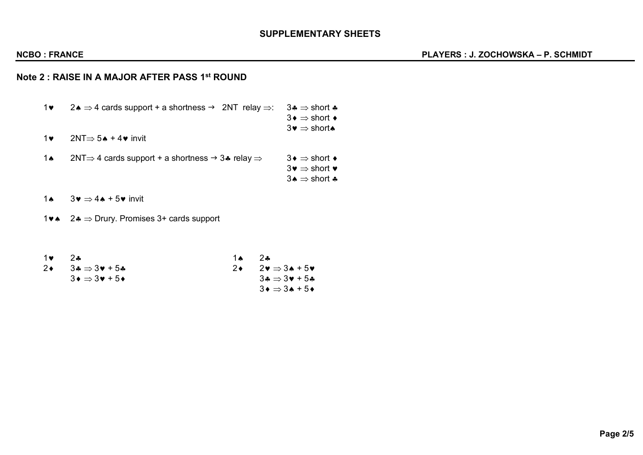## **SUPPLEMENTARY SHEETS**

# **Note 2 : RAISE IN A MAJOR AFTER PASS 1st ROUND**

- 1 $\bullet$  2.  $\Rightarrow$  4 cards support + a shortness  $\rightarrow$  2NT relay  $\Rightarrow$ : 3.  $\Rightarrow$  short  $\clubsuit$  $3 \bullet \Rightarrow$  short  $\bullet$ 
	- $3\bullet \Rightarrow$  short  $\bullet$

1 $\bullet$  2NT $\Rightarrow$  5 $\bullet$  + 4 $\bullet$  invit

- 1 $\bullet$  2NT $\Rightarrow$  4 cards support + a shortness  $\rightarrow$  3 $\bullet$  relay  $\Rightarrow$  3 $\bullet \Rightarrow$  short  $\bullet$  $3\bullet \Rightarrow$  short  $\bullet$ 
	- $3 \triangle \Rightarrow$  short  $\clubsuit$

1 $\bullet$  3 $\bullet \Rightarrow$  4 $\bullet$  + 5 $\bullet$  invit

1 $\triangleright$  2 $\clubsuit$   $\Rightarrow$  Drury. Promises 3+ cards support

| 1♥ 1 | $2$ $\bullet$                                                   | <b>1 A</b> | $2$ $\bullet$                                             |
|------|-----------------------------------------------------------------|------------|-----------------------------------------------------------|
|      | 2 $\rightarrow$ 3 $\rightarrow$ 3 $\rightarrow$ 5 $\rightarrow$ |            | $2\bullet \quad 2\bullet \Rightarrow 3\bullet + 5\bullet$ |
|      | $3 \bullet \Rightarrow 3 \bullet + 5 \bullet$                   |            | $3\clubsuit \Rightarrow 3\blacktriangledown + 5\clubsuit$ |
|      |                                                                 |            | $3 \bullet \Rightarrow 3 \bullet + 5 \bullet$             |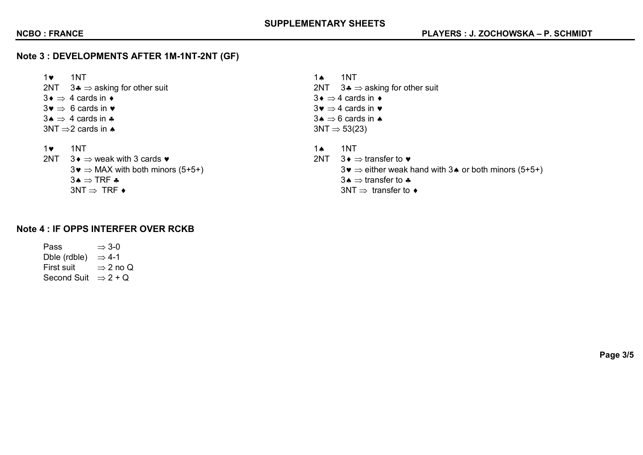# **Note 3 : DEVELOPMENTS AFTER 1M-1NT-2NT (GF)**

1 $\bullet$  1NT 1NT 1. 2NT  $3\clubsuit \Rightarrow$  asking for other suit 2NT  $3\clubsuit \Rightarrow$  asking for other suit 3¨ Þ 4 cards in ¨ 3¨ Þ 4 cards in ¨  $3\mathbf{v} \Rightarrow 6$  cards in  $\mathbf{v}$   $3\mathbf{v} \Rightarrow 4$  cards in  $\mathbf{v}$  $3 \bullet \Rightarrow 4$  cards in  $\bullet$  $3NT \Rightarrow 2$  cards in  $\triangle$  3NT  $\Rightarrow$  53(23)

- 
- 2NT 3¨ Þ weak with 3 cards © 2NT 3¨ Þ transfer to ©  $3\bullet \Rightarrow \text{TRF} \clubsuit$  3.  $\bullet \Rightarrow \text{transfer to } \clubsuit$  $3NT \Rightarrow TRF \leftrightarrow$  3NT  $\Rightarrow$  transfer to  $\leftrightarrow$
- 
- 1 $\bullet$  1NT 1NT 1.  $3\bullet \Rightarrow$  MAX with both minors (5+5+)  $3\bullet \Rightarrow$  either weak hand with 3 $\bullet$  or both minors (5+5+)

# **Note 4 : IF OPPS INTERFER OVER RCKB**

Pass  $\Rightarrow$  3-0 Dble (rdble)  $\Rightarrow$  4-1 First suit  $\Rightarrow$  2 no Q Second Suit  $\Rightarrow$  2 + Q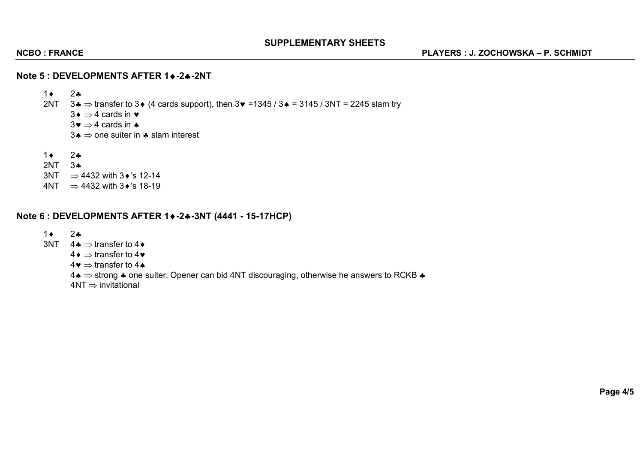## **SUPPLEMENTARY SHEETS**

### **Note 5 : DEVELOPMENTS AFTER 1♦-2♣-2NT**

 $1 \bullet 2 \bullet$ 2NT  $3 \cdot \Rightarrow$  transfer to 3 $\bullet$  (4 cards support), then  $3 \cdot \bullet$  =1345 / 3 $\bullet$  = 3145 / 3NT = 2245 slam try  $3 \bullet \Rightarrow 4$  cards in  $\bullet$  $3\bullet \Rightarrow 4$  cards in  $\bullet$  $3\bullet \Rightarrow$  one suiter in  $\clubsuit$  slam interest  $1 \bullet 2 \bullet$ 

- 2NT 3§
- $3NT \Rightarrow 4432$  with  $3\cdot$ 's 12-14
- $4NT \Rightarrow 4432$  with  $3\cdot$ 's 18-19

## **Note 6 : DEVELOPMENTS AFTER 1**¨**-2**§**-3NT (4441 - 15-17HCP)**

### $1 \bullet 2 \bullet$

- $3NT \quad 4 \clubsuit \Rightarrow$  transfer to 4  $\bullet$ 
	- $4 \bullet \Rightarrow$  transfer to 4 $\bullet$ 
		- $4\bullet \Rightarrow$  transfer to 4

 $4\bullet \Rightarrow$  strong  $\clubsuit$  one suiter. Opener can bid 4NT discouraging, otherwise he answers to RCKB  $\clubsuit$ 

 $4NT \Rightarrow$  invitational